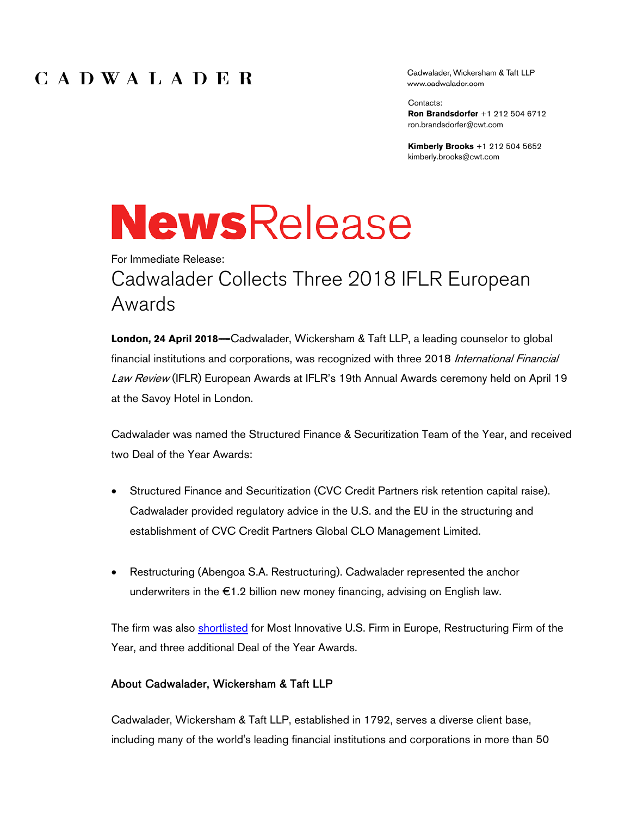## CADWALADER

Cadwalader, Wickersham & Taft LLP www.cadwalader.com

Contacts: **Ron Brandsdorfer** +1 212 504 6712 ron.brandsdorfer@cwt.com

**Kimberly Brooks** +1 212 504 5652 kimberly.brooks@cwt.com

# **NewsRelease**

## For Immediate Release: Cadwalader Collects Three 2018 IFLR European Awards

**London, 24 April 2018---**Cadwalader, Wickersham & Taft LLP, a leading counselor to global financial institutions and corporations, was recognized with three 2018 International Financial Law Review (IFLR) European Awards at IFLR's 19th Annual Awards ceremony held on April 19 at the Savoy Hotel in London.

Cadwalader was named the Structured Finance & Securitization Team of the Year, and received two Deal of the Year Awards:

- Structured Finance and Securitization (CVC Credit Partners risk retention capital raise). Cadwalader provided regulatory advice in the U.S. and the EU in the structuring and establishment of CVC Credit Partners Global CLO Management Limited.
- Restructuring (Abengoa S.A. Restructuring). Cadwalader represented the anchor underwriters in the €1.2 billion new money financing, advising on English law.

The firm was also shortlisted for Most Innovative U.S. Firm in Europe, Restructuring Firm of the Year, and three additional Deal of the Year Awards.

#### About Cadwalader, Wickersham & Taft LLP

Cadwalader, Wickersham & Taft LLP, established in 1792, serves a diverse client base, including many of the world's leading financial institutions and corporations in more than 50